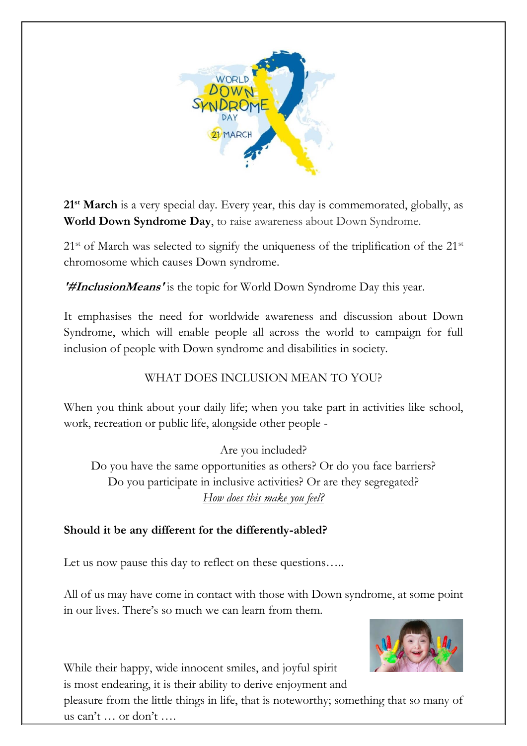

**21st March** is a very special day. Every year, this day is commemorated, globally, as **World Down Syndrome Day**, to raise awareness about Down Syndrome.

 $21<sup>st</sup>$  of March was selected to signify the uniqueness of the triplification of the  $21<sup>st</sup>$ chromosome which causes Down syndrome.

**'#InclusionMeans'** is the topic for World Down Syndrome Day this year.

It emphasises the need for worldwide awareness and discussion about Down Syndrome, which will enable people all across the world to campaign for full inclusion of people with Down syndrome and disabilities in society.

## WHAT DOES INCLUSION MEAN TO YOU?

When you think about your daily life; when you take part in activities like school, work, recreation or public life, alongside other people -

Are you included? Do you have the same opportunities as others? Or do you face barriers? Do you participate in inclusive activities? Or are they segregated? *How does this make you feel?*

## **Should it be any different for the differently-abled?**

Let us now pause this day to reflect on these questions.....

All of us may have come in contact with those with Down syndrome, at some point in our lives. There's so much we can learn from them.



While their happy, wide innocent smiles, and joyful spirit is most endearing, it is their ability to derive enjoyment and

pleasure from the little things in life, that is noteworthy; something that so many of us can't … or don't ….